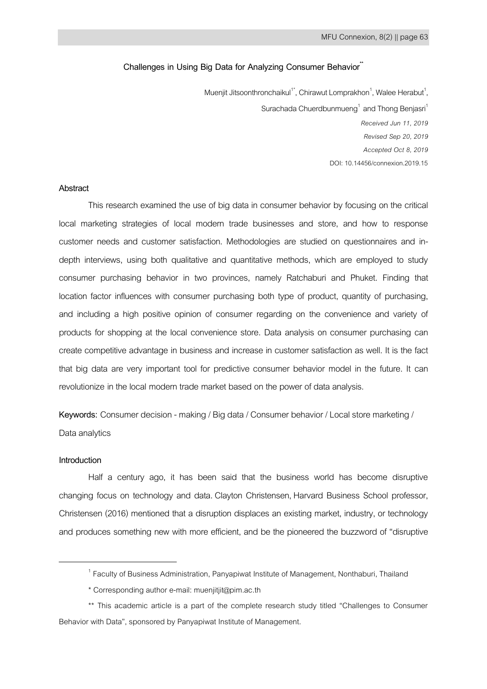# **Challenges in Using Big Data for Analyzing Consumer Behavior\*\***

Muenjit Jitsoonthronchaikul<sup>1\*</sup>, Chirawut Lomprakhon<sup>1</sup>, Walee Herabut<sup>1</sup>, Surachada Chuerdbunmueng<sup>1</sup> and Thong Benjasri<sup>1</sup> *Received Jun 11, 2019 Revised Sep 20, 2019 Accepted Oct 8, 2019* DOI: 10.14456/connexion.2019.15

## **Abstract**

This research examined the use of big data in consumer behavior by focusing on the critical local marketing strategies of local modern trade businesses and store, and how to response customer needs and customer satisfaction. Methodologies are studied on questionnaires and indepth interviews, using both qualitative and quantitative methods, which are employed to study consumer purchasing behavior in two provinces, namely Ratchaburi and Phuket. Finding that location factor influences with consumer purchasing both type of product, quantity of purchasing, and including a high positive opinion of consumer regarding on the convenience and variety of products for shopping at the local convenience store. Data analysis on consumer purchasing can create competitive advantage in business and increase in customer satisfaction as well. It is the fact that big data are very important tool for predictive consumer behavior model in the future. It can revolutionize in the local modern trade market based on the power of data analysis.

**Keywords:** Consumer decision - making / Big data / Consumer behavior / Local store marketing / Data analytics

## **Introduction**

1

Half a century ago, it has been said that the business world has become disruptive changing focus on technology and data. Clayton Christensen, Harvard Business School professor, Christensen (2016) mentioned that a disruption displaces an existing market, industry, or technology and produces something new with more efficient, and be the pioneered the buzzword of "disruptive

<sup>&</sup>lt;sup>1</sup> Faculty of Business Administration, Panyapiwat Institute of Management, Nonthaburi, Thailand

<sup>\*</sup> Corresponding author e-mail: muenjitjit@pim.ac.th

<sup>\*\*</sup> This academic article is a part of the complete research study titled "Challenges to Consumer Behavior with Data", sponsored by Panyapiwat Institute of Management.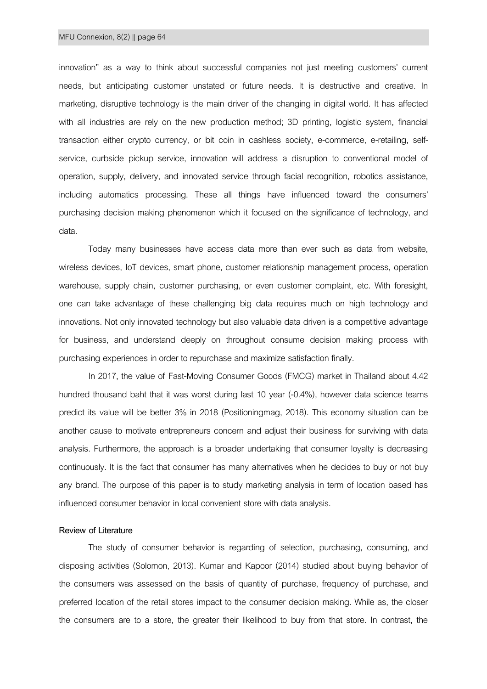innovation" as a way to think about successful companies not just meeting customers' current needs, but anticipating customer unstated or future needs. It is destructive and creative. In marketing, disruptive technology is the main driver of the changing in digital world. It has affected with all industries are rely on the new production method; 3D printing, logistic system, financial transaction either crypto currency, or bit coin in cashless society, e-commerce, e-retailing, selfservice, curbside pickup service, innovation will address a disruption to conventional model of operation, supply, delivery, and innovated service through facial recognition, robotics assistance, including automatics processing. These all things have influenced toward the consumers' purchasing decision making phenomenon which it focused on the significance of technology, and data.

Today many businesses have access data more than ever such as data from website, wireless devices, IoT devices, smart phone, customer relationship management process, operation warehouse, supply chain, customer purchasing, or even customer complaint, etc. With foresight, one can take advantage of these challenging big data requires much on high technology and innovations. Not only innovated technology but also valuable data driven is a competitive advantage for business, and understand deeply on throughout consume decision making process with purchasing experiences in order to repurchase and maximize satisfaction finally.

In 2017, the value of Fast-Moving Consumer Goods (FMCG) market in Thailand about 4.42 hundred thousand baht that it was worst during last 10 year (-0.4%), however data science teams predict its value will be better 3% in 2018 (Positioningmag, 2018). This economy situation can be another cause to motivate entrepreneurs concern and adjust their business for surviving with data analysis. Furthermore, the approach is a broader undertaking that consumer loyalty is decreasing continuously. It is the fact that consumer has many alternatives when he decides to buy or not buy any brand. The purpose of this paper is to study marketing analysis in term of location based has influenced consumer behavior in local convenient store with data analysis.

## **Review of Literature**

The study of consumer behavior is regarding of selection, purchasing, consuming, and disposing activities (Solomon, 2013). Kumar and Kapoor (2014) studied about buying behavior of the consumers was assessed on the basis of quantity of purchase, frequency of purchase, and preferred location of the retail stores impact to the consumer decision making. While as, the closer the consumers are to a store, the greater their likelihood to buy from that store. In contrast, the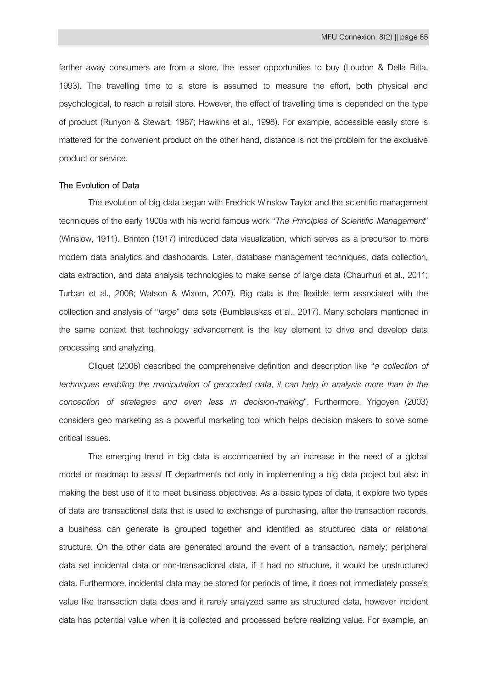farther away consumers are from a store, the lesser opportunities to buy (Loudon & Della Bitta, 1993). The travelling time to a store is assumed to measure the effort, both physical and psychological, to reach a retail store. However, the effect of travelling time is depended on the type of product (Runyon & Stewart, 1987; Hawkins et al., 1998). For example, accessible easily store is mattered for the convenient product on the other hand, distance is not the problem for the exclusive product or service.

### **The Evolution of Data**

The evolution of big data began with Fredrick Winslow Taylor and the scientific management techniques of the early 1900s with his world famous work "*The Principles of Scientific Management*" (Winslow, 1911). Brinton (1917) introduced data visualization, which serves as a precursor to more modern data analytics and dashboards. Later, database management techniques, data collection, data extraction, and data analysis technologies to make sense of large data (Chaurhuri et al., 2011; Turban et al., 2008; Watson & Wixom, 2007). Big data is the flexible term associated with the collection and analysis of "*large*" data sets (Bumblauskas et al., 2017). Many scholars mentioned in the same context that technology advancement is the key element to drive and develop data processing and analyzing.

Cliquet (2006) described the comprehensive definition and description like "*a collection of techniques enabling the manipulation of geocoded data, it can help in analysis more than in the conception of strategies and even less in decision-making*"*.* Furthermore, Yrigoyen (2003) considers geo marketing as a powerful marketing tool which helps decision makers to solve some critical issues.

The emerging trend in big data is accompanied by an increase in the need of a global model or roadmap to assist IT departments not only in implementing a big data project but also in making the best use of it to meet business objectives. As a basic types of data, it explore two types of data are transactional data that is used to exchange of purchasing, after the transaction records, a business can generate is grouped together and identified as structured data or relational structure. On the other data are generated around the event of a transaction, namely; peripheral data set incidental data or non-transactional data, if it had no structure, it would be unstructured data. Furthermore, incidental data may be stored for periods of time, it does not immediately posse's value like transaction data does and it rarely analyzed same as structured data, however incident data has potential value when it is collected and processed before realizing value. For example, an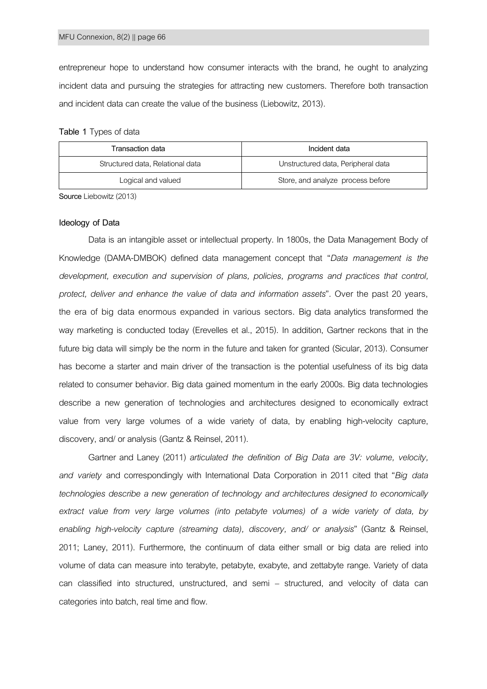entrepreneur hope to understand how consumer interacts with the brand, he ought to analyzing incident data and pursuing the strategies for attracting new customers. Therefore both transaction and incident data can create the value of the business (Liebowitz, 2013).

| Table 1 Types of data |
|-----------------------|
|-----------------------|

| Transaction data                 | Incident data                      |  |
|----------------------------------|------------------------------------|--|
| Structured data, Relational data | Unstructured data, Peripheral data |  |
| Logical and valued               | Store, and analyze process before  |  |

**Source**Liebowitz (2013)

### **Ideology of Data**

Data is an intangible asset or intellectual property. In 1800s, the Data Management Body of Knowledge (DAMA-DMBOK) defined data management concept that "*Data management is the development, execution and supervision of plans, policies, programs and practices that control, protect, deliver and enhance the value of data and information assets*"*.* Over the past 20 years, the era of big data enormous expanded in various sectors. Big data analytics transformed the way marketing is conducted today (Erevelles et al., 2015). In addition, Gartner reckons that in the future big data will simply be the norm in the future and taken for granted (Sicular, 2013). Consumer has become a starter and main driver of the transaction is the potential usefulness of its big data related to consumer behavior. Big data gained momentum in the early 2000s. Big data technologies describe a new generation of technologies and architectures designed to economically extract value from very large volumes of a wide variety of data, by enabling high-velocity capture, discovery, and/ or analysis (Gantz & Reinsel, 2011).

Gartner and Laney (2011) *articulated the definition of Big Data are 3V: volume, velocity, and variety* and correspondingly with International Data Corporation in 2011 cited that "*Big data technologies describe a new generation of technology and architectures designed to economically extract value from very large volumes (into petabyte volumes) of a wide variety of data, by enabling high-velocity capture (streaming data), discovery, and/ or analysis*" (Gantz & Reinsel, 2011; Laney, 2011). Furthermore, the continuum of data either small or big data are relied into volume of data can measure into terabyte, petabyte, exabyte, and zettabyte range. Variety of data can classified into structured, unstructured, and semi – structured, and velocity of data can categories into batch, real time and flow.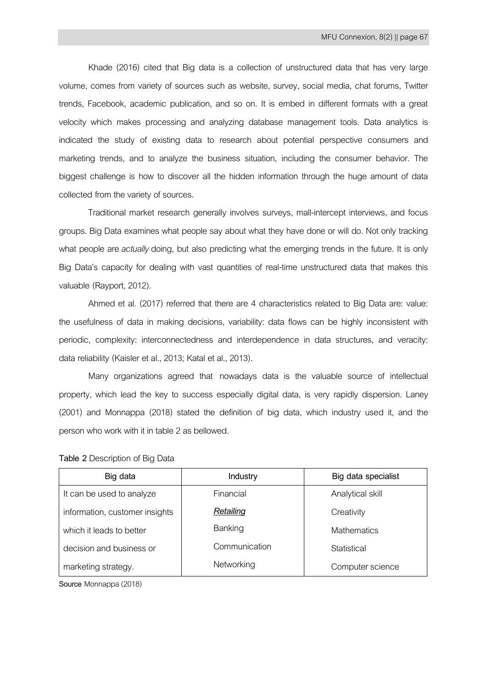Khade (2016) cited that Big data is a collection of unstructured data that has very large volume, comes from variety of sources such as website, survey, social media, chat forums, Twitter trends, Facebook, academic publication, and so on. It is embed in different formats with a great velocity which makes processing and analyzing database management tools. Data analytics is indicated the study of existing data to research about potential perspective consumers and marketing trends, and to analyze the business situation, including the consumer behavior. The biggest challenge is how to discover all the hidden information through the huge amount of data collected from the variety of sources.

Traditional market research generally involves surveys, mall-intercept interviews, and focus groups. Big Data examines what people say about what they have done or will do. Not only tracking what people are*actually* doing, but also predicting what the emerging trends in the future. It is only Big Data's capacity for dealing with vast quantities of real-time unstructured data that makes this valuable (Rayport, 2012).

Ahmed et al. (2017) referred that there are 4 characteristics related to Big Data are: value: the usefulness of data in making decisions, variability: data flows can be highly inconsistent with periodic, complexity: interconnectedness and interdependence in data structures, and veracity: data reliability (Kaisler et al., 2013; Katal et al., 2013).

Many organizations agreed that nowadays data is the valuable source of intellectual property, which lead the key to success especially digital data, is very rapidly dispersion. Laney (2001) and Monnappa (2018) stated the definition of big data, which industry used it, and the person who work with it in table 2 as bellowed.

**Table 2** Description of Big Data

| Big data                       | Industry      | Big data specialist |  |
|--------------------------------|---------------|---------------------|--|
| It can be used to analyze      | Financial     | Analytical skill    |  |
| information, customer insights | Retailing     | Creativity          |  |
| which it leads to better       | Banking       | <b>Mathematics</b>  |  |
| decision and business or       | Communication | Statistical         |  |
| marketing strategy.            | Networking    | Computer science    |  |

Source Monnappa (2018)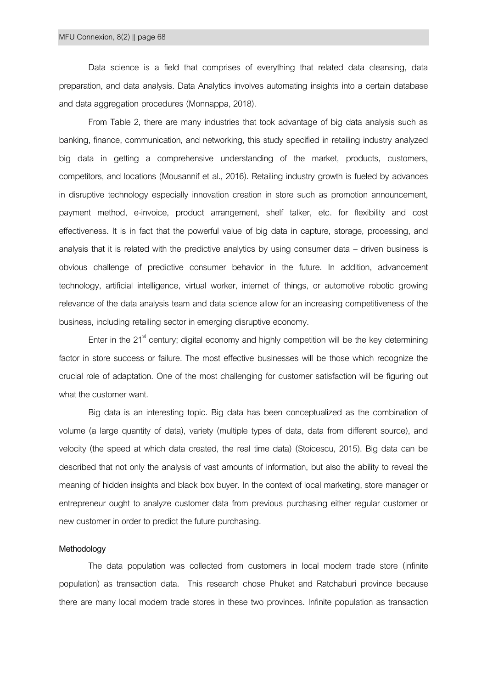Data science is a field that comprises of everything that related data cleansing, data preparation, and data analysis. Data Analytics involves automating insights into a certain database and data aggregation procedures (Monnappa, 2018).

From Table 2, there are many industries that took advantage of big data analysis such as banking, finance, communication, and networking, this study specified in retailing industry analyzed big data in getting a comprehensive understanding of the market, products, customers, competitors, and locations (Mousannif et al., 2016). Retailing industry growth is fueled by advances in disruptive technology especially innovation creation in store such as promotion announcement, payment method, e-invoice, product arrangement, shelf talker, etc. for flexibility and cost effectiveness. It is in fact that the powerful value of big data in capture, storage, processing, and analysis that it is related with the predictive analytics by using consumer data – driven business is obvious challenge of predictive consumer behavior in the future. In addition, advancement technology, artificial intelligence, virtual worker, internet of things, or automotive robotic growing relevance of the data analysis team and data science allow for an increasing competitiveness of the business, including retailing sector in emerging disruptive economy.

Enter in the 21 $^{\text{st}}$  century; digital economy and highly competition will be the key determining factor in store success or failure. The most effective businesses will be those which recognize the crucial role of adaptation. One of the most challenging for customer satisfaction will be figuring out what the customer want.

Big data is an interesting topic. Big data has been conceptualized as the combination of volume (a large quantity of data), variety (multiple types of data, data from different source), and velocity (the speed at which data created, the real time data) (Stoicescu, 2015). Big data can be described that not only the analysis of vast amounts of information, but also the ability to reveal the meaning of hidden insights and black box buyer. In the context of local marketing, store manager or entrepreneur ought to analyze customer data from previous purchasing either regular customer or new customer in order to predict the future purchasing.

#### **Methodology**

The data population was collected from customers in local modern trade store (infinite population) as transaction data. This research chose Phuket and Ratchaburi province because there are many local modern trade stores in these two provinces. Infinite population as transaction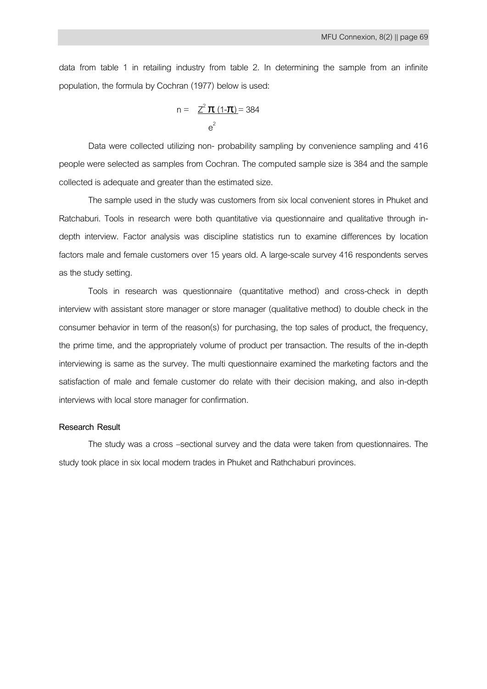data from table 1 in retailing industry from table 2. In determining the sample from an infinite population, the formula by Cochran (1977) below is used:

$$
n = \frac{Z^2 \pi (1 - \pi)}{e^2} = 384
$$

Data were collected utilizing non- probability sampling by convenience sampling and 416 people were selected as samples from Cochran. The computed sample size is 384 and the sample collected is adequate and greater than the estimated size.

The sample used in the study was customers from six local convenient stores in Phuket and Ratchaburi. Tools in research were both quantitative via questionnaire and qualitative through indepth interview. Factor analysis was discipline statistics run to examine differences by location factors male and female customers over 15 years old. A large-scale survey 416 respondents serves as the study setting.

Tools in research was questionnaire (quantitative method) and cross-check in depth interview with assistant store manager or store manager (qualitative method) to double check in the consumer behavior in term of the reason(s) for purchasing, the top sales of product, the frequency, the prime time, and the appropriately volume of product per transaction. The results of the in-depth interviewing is same as the survey. The multi questionnaire examined the marketing factors and the satisfaction of male and female customer do relate with their decision making, and also in-depth interviews with local store manager for confirmation.

## **Research Result**

The study was a cross –sectional survey and the data were taken from questionnaires. The study took place in six local modern trades in Phuket and Rathchaburi provinces.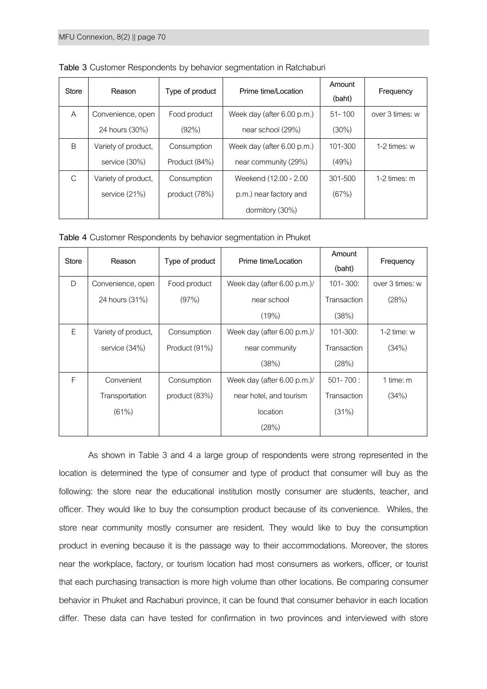| Store        | Reason              | Type of product | Prime time/Location        | Amount<br>(baht) | Frequency       |
|--------------|---------------------|-----------------|----------------------------|------------------|-----------------|
| A            | Convenience, open   | Food product    | Week day (after 6.00 p.m.) | $51 - 100$       | over 3 times: w |
|              | 24 hours (30%)      | (92%)           | near school (29%)          | $(30\%)$         |                 |
| <sub>B</sub> | Variety of product, | Consumption     | Week day (after 6.00 p.m.) | 101-300          | $1-2$ times: w  |
|              | service (30%)       | Product (84%)   | near community (29%)       | (49%)            |                 |
| C            | Variety of product, | Consumption     | Weekend (12.00 - 2.00      | 301-500          | 1-2 times: $m$  |
|              | service $(21%)$     | product $(78%)$ | p.m.) near factory and     | (67%)            |                 |
|              |                     |                 | dormitory (30%)            |                  |                 |

**Table 3** Customer Respondents by behavior segmentation in Ratchaburi

|  |  | Table 4 Customer Respondents by behavior segmentation in Phuket |  |
|--|--|-----------------------------------------------------------------|--|
|  |  |                                                                 |  |

| <b>Store</b> | Reason              | Type of product | Prime time/Location           | Amount<br>(baht) | Frequency       |
|--------------|---------------------|-----------------|-------------------------------|------------------|-----------------|
| D            | Convenience, open   | Food product    | Week day (after 6.00 p.m.)/   | $101 - 300$ :    | over 3 times: w |
|              | 24 hours (31%)      | (97%)           | near school                   | Transaction      | (28%)           |
|              |                     |                 | (19%)                         | (38%)            |                 |
| E            | Variety of product, | Consumption     | Week day (after $6.00$ p.m.)/ | 101-300:         | 1-2 time: $w$   |
|              | service (34%)       | Product (91%)   | near community                | Transaction      | (34%)           |
|              |                     |                 | (38%)                         | (28%)            |                 |
| F            | Convenient          | Consumption     | Week day (after $6.00$ p.m.)/ | $501 - 700$ :    | 1 time: m       |
|              | Transportation      | product (83%)   | near hotel, and tourism       | Transaction      | (34%)           |
|              | (61%)               |                 | location                      | (31%)            |                 |
|              |                     |                 | (28%)                         |                  |                 |

As shown in Table 3 and 4 a large group of respondents were strong represented in the location is determined the type of consumer and type of product that consumer will buy as the following: the store near the educational institution mostly consumer are students, teacher, and officer. They would like to buy the consumption product because of its convenience. Whiles, the store near community mostly consumer are resident. They would like to buy the consumption product in evening because it is the passage way to their accommodations. Moreover, the stores near the workplace, factory, or tourism location had most consumers as workers, officer, or tourist that each purchasing transaction is more high volume than other locations. Be comparing consumer behavior in Phuket and Rachaburi province, it can be found that consumer behavior in each location differ. These data can have tested for confirmation in two provinces and interviewed with store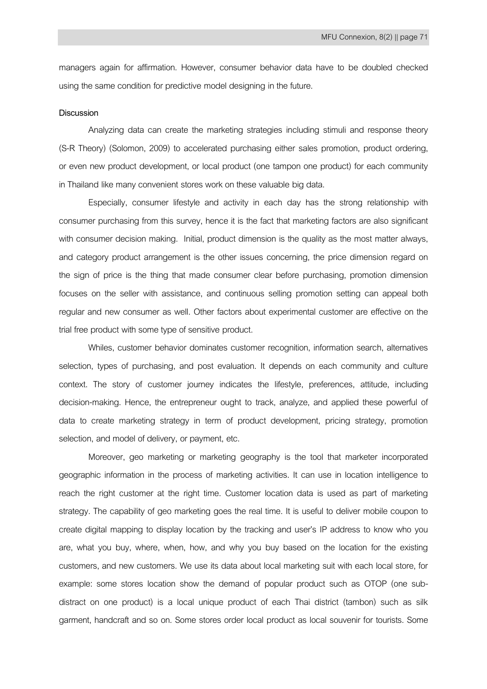managers again for affirmation. However, consumer behavior data have to be doubled checked using the same condition for predictive model designing in the future.

## **Discussion**

Analyzing data can create the marketing strategies including stimuli and response theory (S-R Theory) (Solomon, 2009) to accelerated purchasing either sales promotion, product ordering, or even new product development, or local product (one tampon one product) for each community in Thailand like many convenient stores work on these valuable big data.

Especially, consumer lifestyle and activity in each day has the strong relationship with consumer purchasing from this survey, hence it is the fact that marketing factors are also significant with consumer decision making. Initial, product dimension is the quality as the most matter always, and category product arrangement is the other issues concerning, the price dimension regard on the sign of price is the thing that made consumer clear before purchasing, promotion dimension focuses on the seller with assistance, and continuous selling promotion setting can appeal both regular and new consumer as well. Other factors about experimental customer are effective on the trial free product with some type of sensitive product.

Whiles, customer behavior dominates customer recognition, information search, alternatives selection, types of purchasing, and post evaluation. It depends on each community and culture context. The story of customer journey indicates the lifestyle, preferences, attitude, including decision-making. Hence, the entrepreneur ought to track, analyze, and applied these powerful of data to create marketing strategy in term of product development, pricing strategy, promotion selection, and model of delivery, or payment, etc.

Moreover, geo marketing or marketing geography is the tool that marketer incorporated geographic information in the process of marketing activities. It can use in location intelligence to reach the right customer at the right time. Customer location data is used as part of marketing strategy. The capability of geo marketing goes the real time. It is useful to deliver mobile coupon to create digital mapping to display location by the tracking and user's IP address to know who you are, what you buy, where, when, how, and why you buy based on the location for the existing customers, and new customers. We use its data about local marketing suit with each local store, for example: some stores location show the demand of popular product such as OTOP (one subdistract on one product) is a local unique product of each Thai district (tambon) such as silk garment, handcraft and so on. Some stores order local product as local souvenir for tourists. Some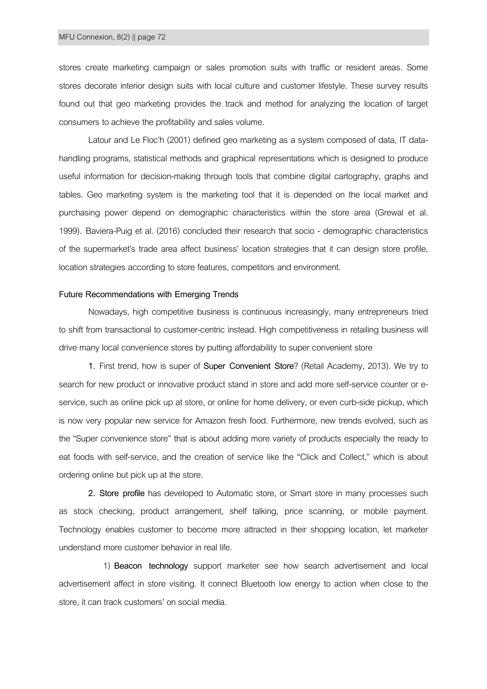stores create marketing campaign or sales promotion suits with traffic or resident areas. Some stores decorate interior design suits with local culture and customer lifestyle. These survey results found out that geo marketing provides the track and method for analyzing the location of target consumers to achieve the profitability and sales volume.

Latour and Le Floc'h (2001) defined geo marketing as a system composed of data, IT datahandling programs, statistical methods and graphical representations which is designed to produce useful information for decision-making through tools that combine digital cartography, graphs and tables. Geo marketing system is the marketing tool that it is depended on the local market and purchasing power depend on demographic characteristics within the store area (Grewal et al. 1999). Baviera-Puig et al. (2016) concluded their research that socio - demographic characteristics of the supermarket's trade area affect business' location strategies that it can design store profile, location strategies according to store features, competitors and environment.

# **Future Recommendations with Emerging Trends**

Nowadays, high competitive business is continuous increasingly, many entrepreneurs tried to shift from transactional to customer-centric instead. High competitiveness in retailing business will drive many local convenience stores by putting affordability to super convenient store

**1.** First trend, how is super of **Super Convenient Store**? (Retail Academy, 2013). We try to search for new product or innovative product stand in store and add more self-service counter or eservice, such as online pick up at store, or online for home delivery, or even curb-side pickup, which is now very popular new service for Amazon fresh food. Furthermore, new trends evolved, such as the "Super convenience store" that is about adding more variety of products especially the ready to eat foods with self-service, and the creation of service like the "Click and Collect," which is about ordering online but pick up at the store.

**2. Store profile** has developed to Automatic store, or Smart store in many processes such as stock checking, product arrangement, shelf talking, price scanning, or mobile payment. Technology enables customer to become more attracted in their shopping location, let marketer understand more customer behavior in real life.

1) **Beacon technology** support marketer see how search advertisement and local advertisement affect in store visiting. It connect Bluetooth low energy to action when close to the store, it can track customers' on social media.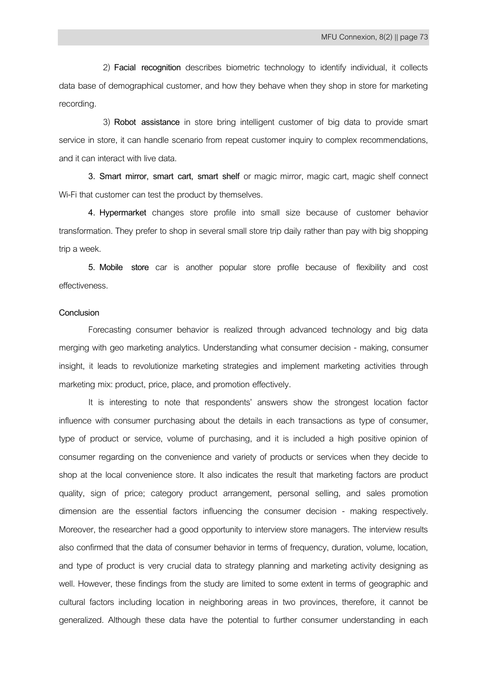2) **Facial recognition** describes biometric technology to identify individual, it collects data base of demographical customer, and how they behave when they shop in store for marketing recording.

3) **Robot assistance** in store bring intelligent customer of big data to provide smart service in store, it can handle scenario from repeat customer inquiry to complex recommendations, and it can interact with live data.

**3. Smart mirror, smart cart, smart shelf** or magic mirror, magic cart, magic shelf connect Wi-Fi that customer can test the product by themselves.

**4. Hypermarket** changes store profile into small size because of customer behavior transformation. They prefer to shop in several small store trip daily rather than pay with big shopping trip a week.

**5. Mobile store** car is another popular store profile because of flexibility and cost effectiveness.

#### **Conclusion**

Forecasting consumer behavior is realized through advanced technology and big data merging with geo marketing analytics. Understanding what consumer decision - making, consumer insight, it leads to revolutionize marketing strategies and implement marketing activities through marketing mix: product, price, place, and promotion effectively.

It is interesting to note that respondents' answers show the strongest location factor influence with consumer purchasing about the details in each transactions as type of consumer, type of product or service, volume of purchasing, and it is included a high positive opinion of consumer regarding on the convenience and variety of products or services when they decide to shop at the local convenience store. It also indicates the result that marketing factors are product quality, sign of price; category product arrangement, personal selling, and sales promotion dimension are the essential factors influencing the consumer decision - making respectively. Moreover, the researcher had a good opportunity to interview store managers. The interview results also confirmed that the data of consumer behavior in terms of frequency, duration, volume, location, and type of product is very crucial data to strategy planning and marketing activity designing as well. However, these findings from the study are limited to some extent in terms of geographic and cultural factors including location in neighboring areas in two provinces, therefore, it cannot be generalized. Although these data have the potential to further consumer understanding in each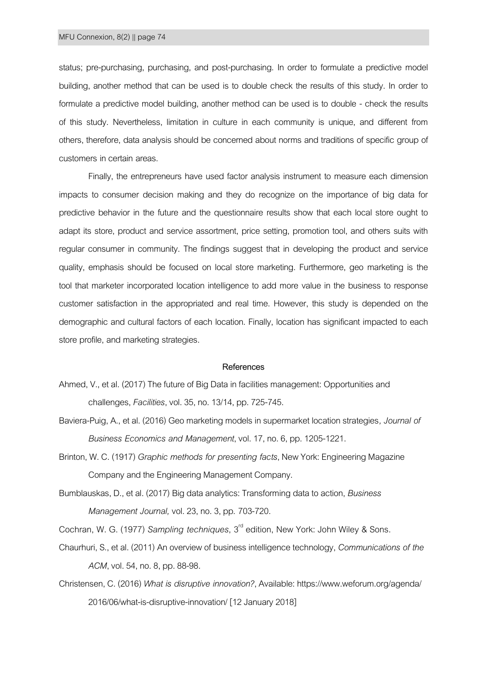status; pre-purchasing, purchasing, and post-purchasing. In order to formulate a predictive model building, another method that can be used is to double check the results of this study. In order to formulate a predictive model building, another method can be used is to double - check the results of this study. Nevertheless, limitation in culture in each community is unique, and different from others, therefore, data analysis should be concerned about norms and traditions of specific group of customers in certain areas.

Finally, the entrepreneurs have used factor analysis instrument to measure each dimension impacts to consumer decision making and they do recognize on the importance of big data for predictive behavior in the future and the questionnaire results show that each local store ought to adapt its store, product and service assortment, price setting, promotion tool, and others suits with regular consumer in community. The findings suggest that in developing the product and service quality, emphasis should be focused on local store marketing. Furthermore, geo marketing is the tool that marketer incorporated location intelligence to add more value in the business to response customer satisfaction in the appropriated and real time. However, this study is depended on the demographic and cultural factors of each location. Finally, location has significant impacted to each store profile, and marketing strategies.

## **References**

- Ahmed, V., et al. (2017) The future of Big Data in facilities management: Opportunities and challenges, *Facilities*, vol. 35, no. 13/14, pp. 725-745.
- Baviera-Puig, A., et al. (2016) Geo marketing models in supermarket location strategies*, Journal of Business Economics and Management*, vol. 17, no. 6, pp. 1205-1221.
- Brinton, W. C. (1917) *Graphic methods for presenting facts*, New York: Engineering Magazine Company and the Engineering Management Company.
- Bumblauskas, D., et al. (2017) Big data analytics: Transforming data to action, *Business Management Journal,* vol. 23, no. 3, pp. 703-720.

Cochran, W. G. (1977) Sampling techniques, 3<sup>rd</sup> edition, New York: John Wiley & Sons.

- Chaurhuri, S., et al. (2011) An overview of business intelligence technology, *Communications of the ACM*, vol. 54, no. 8, pp. 88-98*.*
- Christensen, C. (2016) *What is disruptive innovation?*, Available: https://www.weforum.org/agenda/ 2016/06/what-is-disruptive-innovation/ [12 January 2018]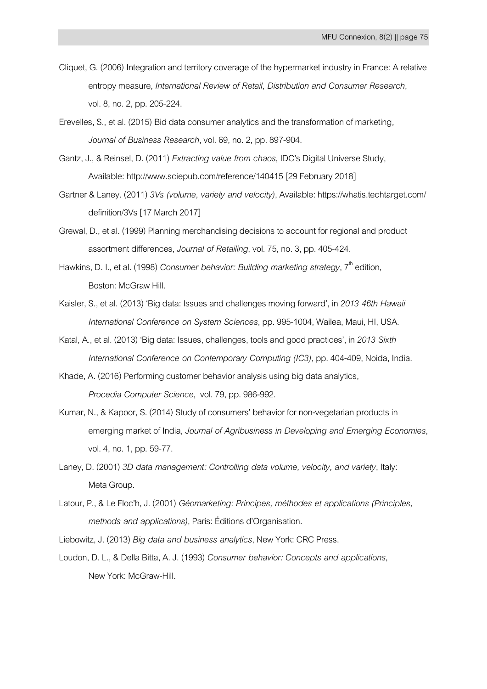- Cliquet, G. (2006) Integration and territory coverage of the hypermarket industry in France: A relative entropy measure, *International Review of Retail, Distribution and Consumer Research*, vol. 8, no. 2, pp. 205-224.
- Erevelles, S., et al. (2015) Bid data consumer analytics and the transformation of marketing*, Journal of Business Research*, vol. 69, no. 2, pp. 897-904.
- Gantz, J., & Reinsel, D. (2011) *Extracting value from chaos*, IDC's Digital Universe Study, Available[: http://www.sciepub.com/reference/140415](http://www.sciepub.com/reference/140415) [29 February 2018]
- Gartner & Laney. (2011) *3Vs (volume, variety and velocity)*, Available: https://whatis.techtarget.com/ definition/3Vs[17 March 2017]
- Grewal, D., et al. (1999) Planning merchandising decisions to account for regional and product assortment differences, *Journal of Retailing*, vol. 75, no. 3, pp. 405-424.
- Hawkins, D. I., et al. (1998) *Consumer behavior: Building marketing strategy*, 7<sup>th</sup> edition, Boston: McGraw Hill.
- Kaisler, S., et al. (2013) 'Big data: Issues and challenges moving forward', in *2013 46th Hawaii International Conference on System Sciences*, pp. 995-1004, Wailea, Maui, HI, USA.
- Katal, A., et al. (2013) 'Big data: Issues, challenges, tools and good practices', in *2013 Sixth International Conference on Contemporary Computing (IC3)*, pp. 404-409, Noida, India.
- Khade, A. (2016) Performing customer behavior analysis using big data analytics, *Procedia Computer Science*, vol. 79, pp. 986-992.
- Kumar, N., & Kapoor, S. (2014) Study of consumers' behavior for non-vegetarian products in emerging market of India, *Journal of Agribusiness in Developing and Emerging Economies*, vol. 4, no. 1, pp. 59-77.
- Laney, D. (2001) *3D data management: Controlling data volume, velocity, and variety*, Italy: Meta Group.
- Latour, P., & Le Floc'h, J. (2001) *Géomarketing: Principes, méthodes et applications (Principles, methods and applications)*, Paris: Éditions d'Organisation.
- Liebowitz, J. (2013) *Big data and business analytics*, New York: CRC Press.
- Loudon, D. L., & Della Bitta, A. J. (1993) *Consumer behavior: Concepts and applications*, New York: McGraw-Hill.